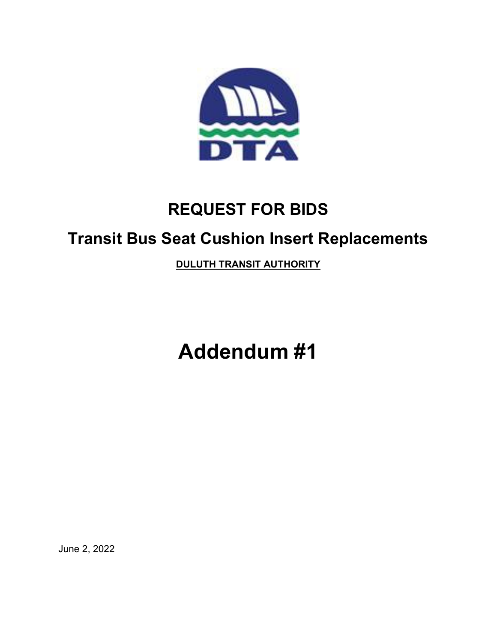

## REQUEST FOR BIDS

## Transit Bus Seat Cushion Insert Replacements

DULUTH TRANSIT AUTHORITY

Addendum #1

June 2, 2022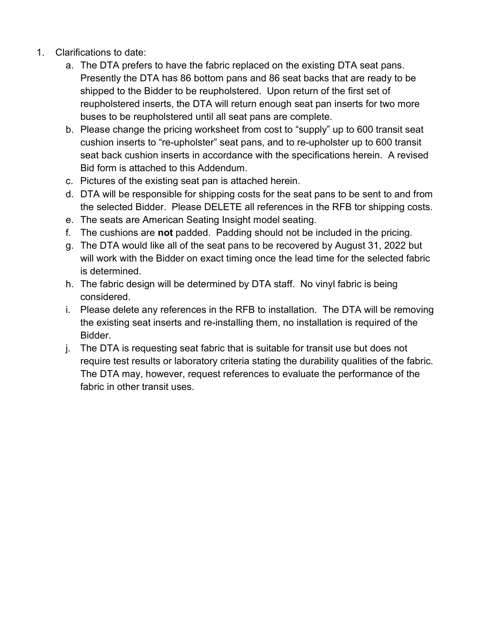- 1. Clarifications to date:
	- a. The DTA prefers to have the fabric replaced on the existing DTA seat pans. Presently the DTA has 86 bottom pans and 86 seat backs that are ready to be shipped to the Bidder to be reupholstered. Upon return of the first set of reupholstered inserts, the DTA will return enough seat pan inserts for two more buses to be reupholstered until all seat pans are complete.
	- b. Please change the pricing worksheet from cost to "supply" up to 600 transit seat cushion inserts to "re-upholster" seat pans, and to re-upholster up to 600 transit seat back cushion inserts in accordance with the specifications herein. A revised Bid form is attached to this Addendum.
	- c. Pictures of the existing seat pan is attached herein.
	- d. DTA will be responsible for shipping costs for the seat pans to be sent to and from the selected Bidder. Please DELETE all references in the RFB tor shipping costs.
	- e. The seats are American Seating Insight model seating.
	- f. The cushions are not padded. Padding should not be included in the pricing.
	- g. The DTA would like all of the seat pans to be recovered by August 31, 2022 but will work with the Bidder on exact timing once the lead time for the selected fabric is determined.
	- h. The fabric design will be determined by DTA staff. No vinyl fabric is being considered.
	- i. Please delete any references in the RFB to installation. The DTA will be removing the existing seat inserts and re-installing them, no installation is required of the Bidder.
	- j. The DTA is requesting seat fabric that is suitable for transit use but does not require test results or laboratory criteria stating the durability qualities of the fabric. The DTA may, however, request references to evaluate the performance of the fabric in other transit uses.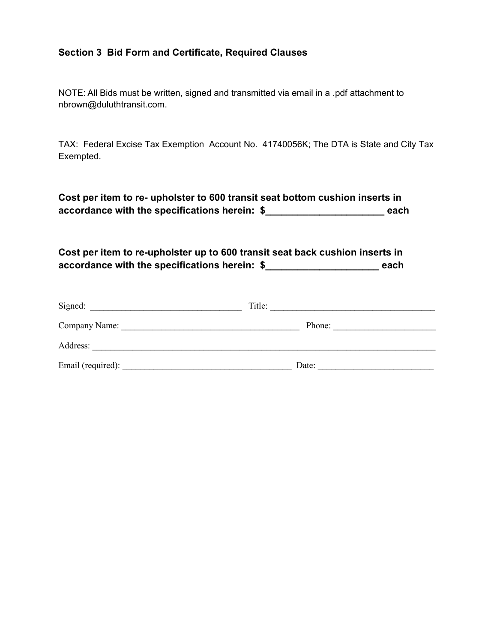## Section 3 Bid Form and Certificate, Required Clauses

NOTE: All Bids must be written, signed and transmitted via email in a .pdf attachment to nbrown@duluthtransit.com.

TAX: Federal Excise Tax Exemption Account No. 41740056K; The DTA is State and City Tax Exempted.

Cost per item to re- upholster to 600 transit seat bottom cushion inserts in accordance with the specifications herein: \$\_\_\_\_\_\_\_\_\_\_\_\_\_\_\_\_\_\_\_\_\_\_ each

Cost per item to re-upholster up to 600 transit seat back cushion inserts in accordance with the specifications herein: \$ \_\_\_\_\_\_\_\_\_\_\_\_\_\_\_\_\_\_\_\_\_\_\_\_\_ each

| Signed:           | Title: |
|-------------------|--------|
| Company Name:     | Phone: |
| Address:          |        |
| Email (required): | Date:  |